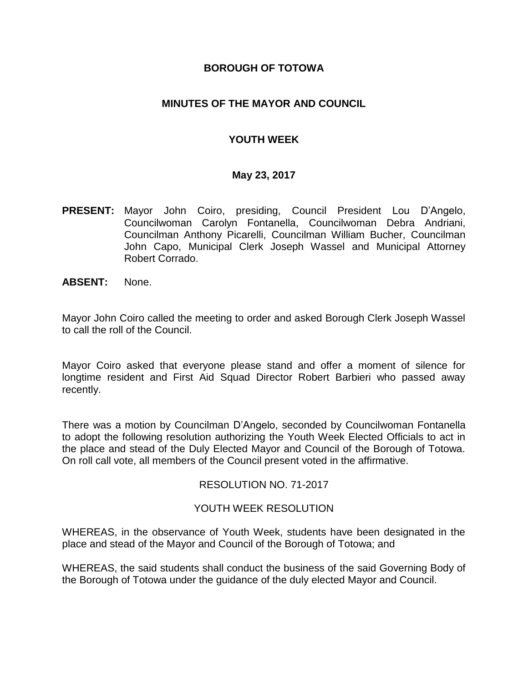# **BOROUGH OF TOTOWA**

# **MINUTES OF THE MAYOR AND COUNCIL**

# **YOUTH WEEK**

## **May 23, 2017**

- **PRESENT:** Mayor John Coiro, presiding, Council President Lou D'Angelo, Councilwoman Carolyn Fontanella, Councilwoman Debra Andriani, Councilman Anthony Picarelli, Councilman William Bucher, Councilman John Capo, Municipal Clerk Joseph Wassel and Municipal Attorney Robert Corrado.
- **ABSENT:** None.

Mayor John Coiro called the meeting to order and asked Borough Clerk Joseph Wassel to call the roll of the Council.

Mayor Coiro asked that everyone please stand and offer a moment of silence for longtime resident and First Aid Squad Director Robert Barbieri who passed away recently.

There was a motion by Councilman D'Angelo, seconded by Councilwoman Fontanella to adopt the following resolution authorizing the Youth Week Elected Officials to act in the place and stead of the Duly Elected Mayor and Council of the Borough of Totowa. On roll call vote, all members of the Council present voted in the affirmative.

## RESOLUTION NO. 71-2017

## YOUTH WEEK RESOLUTION

WHEREAS, in the observance of Youth Week, students have been designated in the place and stead of the Mayor and Council of the Borough of Totowa; and

WHEREAS, the said students shall conduct the business of the said Governing Body of the Borough of Totowa under the guidance of the duly elected Mayor and Council.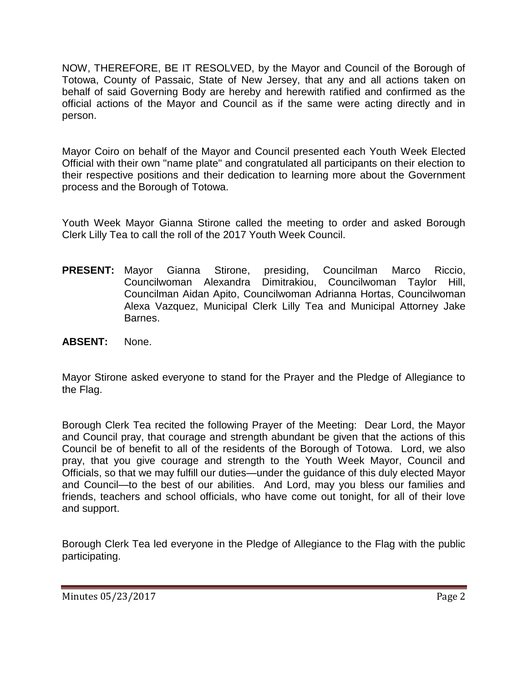NOW, THEREFORE, BE IT RESOLVED, by the Mayor and Council of the Borough of Totowa, County of Passaic, State of New Jersey, that any and all actions taken on behalf of said Governing Body are hereby and herewith ratified and confirmed as the official actions of the Mayor and Council as if the same were acting directly and in person.

Mayor Coiro on behalf of the Mayor and Council presented each Youth Week Elected Official with their own "name plate" and congratulated all participants on their election to their respective positions and their dedication to learning more about the Government process and the Borough of Totowa.

Youth Week Mayor Gianna Stirone called the meeting to order and asked Borough Clerk Lilly Tea to call the roll of the 2017 Youth Week Council.

- **PRESENT:** Mayor Gianna Stirone, presiding, Councilman Marco Riccio, Councilwoman Alexandra Dimitrakiou, Councilwoman Taylor Hill, Councilman Aidan Apito, Councilwoman Adrianna Hortas, Councilwoman Alexa Vazquez, Municipal Clerk Lilly Tea and Municipal Attorney Jake Barnes.
- **ABSENT:** None.

Mayor Stirone asked everyone to stand for the Prayer and the Pledge of Allegiance to the Flag.

Borough Clerk Tea recited the following Prayer of the Meeting: Dear Lord, the Mayor and Council pray, that courage and strength abundant be given that the actions of this Council be of benefit to all of the residents of the Borough of Totowa. Lord, we also pray, that you give courage and strength to the Youth Week Mayor, Council and Officials, so that we may fulfill our duties—under the guidance of this duly elected Mayor and Council—to the best of our abilities. And Lord, may you bless our families and friends, teachers and school officials, who have come out tonight, for all of their love and support.

Borough Clerk Tea led everyone in the Pledge of Allegiance to the Flag with the public participating.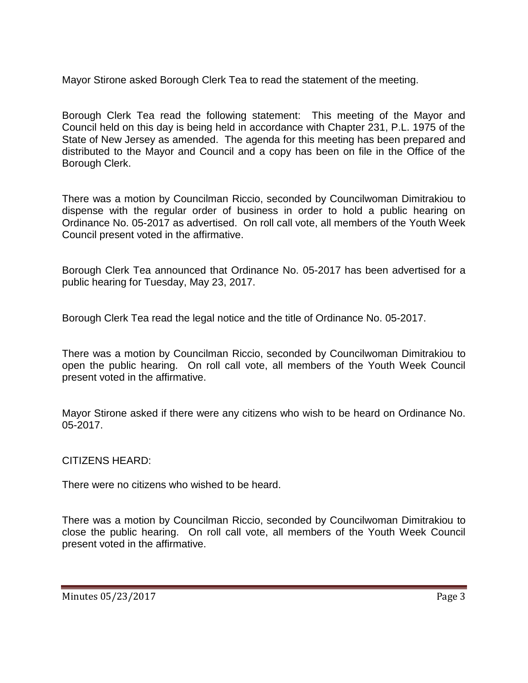Mayor Stirone asked Borough Clerk Tea to read the statement of the meeting.

Borough Clerk Tea read the following statement: This meeting of the Mayor and Council held on this day is being held in accordance with Chapter 231, P.L. 1975 of the State of New Jersey as amended. The agenda for this meeting has been prepared and distributed to the Mayor and Council and a copy has been on file in the Office of the Borough Clerk.

There was a motion by Councilman Riccio, seconded by Councilwoman Dimitrakiou to dispense with the regular order of business in order to hold a public hearing on Ordinance No. 05-2017 as advertised. On roll call vote, all members of the Youth Week Council present voted in the affirmative.

Borough Clerk Tea announced that Ordinance No. 05-2017 has been advertised for a public hearing for Tuesday, May 23, 2017.

Borough Clerk Tea read the legal notice and the title of Ordinance No. 05-2017.

There was a motion by Councilman Riccio, seconded by Councilwoman Dimitrakiou to open the public hearing. On roll call vote, all members of the Youth Week Council present voted in the affirmative.

Mayor Stirone asked if there were any citizens who wish to be heard on Ordinance No. 05-2017.

CITIZENS HEARD:

There were no citizens who wished to be heard.

There was a motion by Councilman Riccio, seconded by Councilwoman Dimitrakiou to close the public hearing. On roll call vote, all members of the Youth Week Council present voted in the affirmative.

Minutes 05/23/2017 Page 3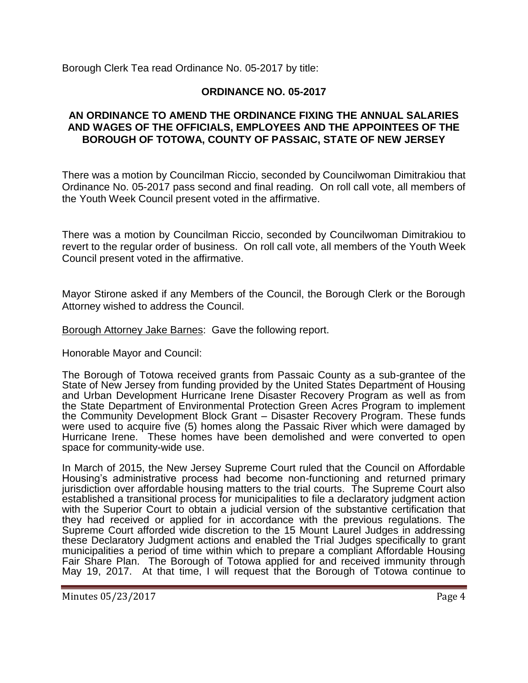Borough Clerk Tea read Ordinance No. 05-2017 by title:

# **ORDINANCE NO. 05-2017**

# **AN ORDINANCE TO AMEND THE ORDINANCE FIXING THE ANNUAL SALARIES AND WAGES OF THE OFFICIALS, EMPLOYEES AND THE APPOINTEES OF THE BOROUGH OF TOTOWA, COUNTY OF PASSAIC, STATE OF NEW JERSEY**

There was a motion by Councilman Riccio, seconded by Councilwoman Dimitrakiou that Ordinance No. 05-2017 pass second and final reading. On roll call vote, all members of the Youth Week Council present voted in the affirmative.

There was a motion by Councilman Riccio, seconded by Councilwoman Dimitrakiou to revert to the regular order of business. On roll call vote, all members of the Youth Week Council present voted in the affirmative.

Mayor Stirone asked if any Members of the Council, the Borough Clerk or the Borough Attorney wished to address the Council.

Borough Attorney Jake Barnes: Gave the following report.

Honorable Mayor and Council:

The Borough of Totowa received grants from Passaic County as a sub-grantee of the State of New Jersey from funding provided by the United States Department of Housing and Urban Development Hurricane Irene Disaster Recovery Program as well as from the State Department of Environmental Protection Green Acres Program to implement the Community Development Block Grant – Disaster Recovery Program. These funds were used to acquire five (5) homes along the Passaic River which were damaged by Hurricane Irene. These homes have been demolished and were converted to open space for community-wide use.

In March of 2015, the New Jersey Supreme Court ruled that the Council on Affordable Housing's administrative process had become non-functioning and returned primary jurisdiction over affordable housing matters to the trial courts. The Supreme Court also established a transitional process for municipalities to file a declaratory judgment action with the Superior Court to obtain a judicial version of the substantive certification that they had received or applied for in accordance with the previous regulations. The Supreme Court afforded wide discretion to the 15 Mount Laurel Judges in addressing these Declaratory Judgment actions and enabled the Trial Judges specifically to grant municipalities a period of time within which to prepare a compliant Affordable Housing Fair Share Plan. The Borough of Totowa applied for and received immunity through May 19, 2017. At that time, I will request that the Borough of Totowa continue to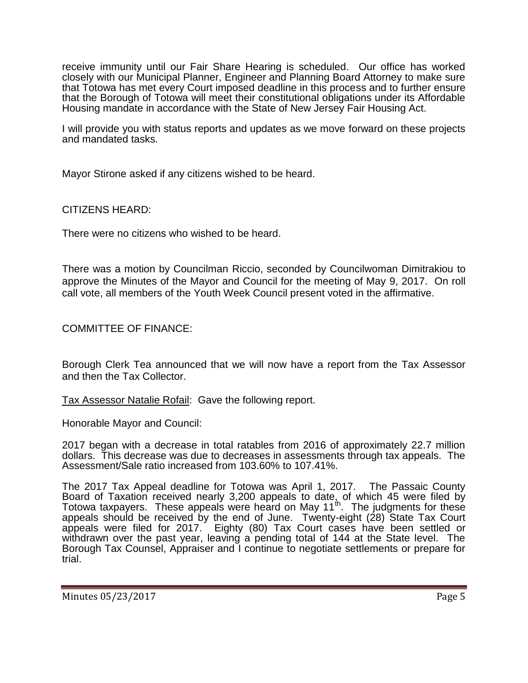receive immunity until our Fair Share Hearing is scheduled. Our office has worked closely with our Municipal Planner, Engineer and Planning Board Attorney to make sure that Totowa has met every Court imposed deadline in this process and to further ensure that the Borough of Totowa will meet their constitutional obligations under its Affordable Housing mandate in accordance with the State of New Jersey Fair Housing Act.

I will provide you with status reports and updates as we move forward on these projects and mandated tasks.

Mayor Stirone asked if any citizens wished to be heard.

CITIZENS HEARD:

There were no citizens who wished to be heard.

There was a motion by Councilman Riccio, seconded by Councilwoman Dimitrakiou to approve the Minutes of the Mayor and Council for the meeting of May 9, 2017. On roll call vote, all members of the Youth Week Council present voted in the affirmative.

COMMITTEE OF FINANCE:

Borough Clerk Tea announced that we will now have a report from the Tax Assessor and then the Tax Collector.

Tax Assessor Natalie Rofail: Gave the following report.

Honorable Mayor and Council:

2017 began with a decrease in total ratables from 2016 of approximately 22.7 million dollars. This decrease was due to decreases in assessments through tax appeals. The Assessment/Sale ratio increased from 103.60% to 107.41%.

The 2017 Tax Appeal deadline for Totowa was April 1, 2017. The Passaic County Board of Taxation received nearly 3,200 appeals to date, of which 45 were filed by Totowa taxpayers. These appeals were heard on May 11 $<sup>th</sup>$ . The judgments for these</sup> appeals should be received by the end of June. Twenty-eight (28) State Tax Court appeals were filed for 2017. Eighty (80) Tax Court cases have been settled or withdrawn over the past year, leaving a pending total of 144 at the State level. The Borough Tax Counsel, Appraiser and I continue to negotiate settlements or prepare for trial.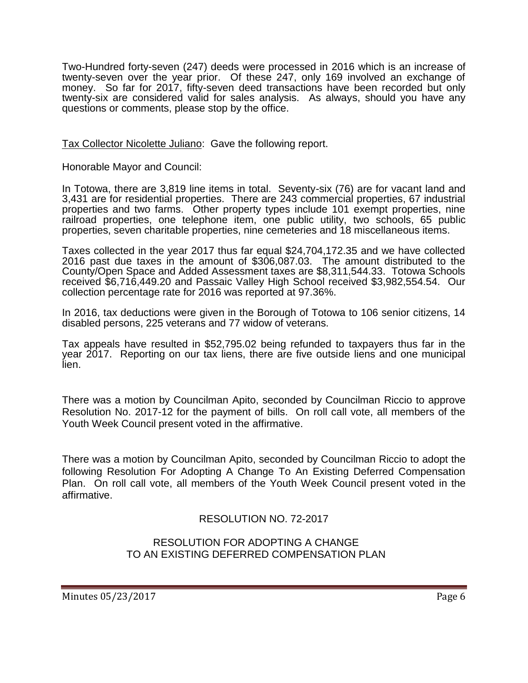Two-Hundred forty-seven (247) deeds were processed in 2016 which is an increase of twenty-seven over the year prior. Of these 247, only 169 involved an exchange of money. So far for 2017, fifty-seven deed transactions have been recorded but only twenty-six are considered valid for sales analysis. As always, should you have any questions or comments, please stop by the office.

Tax Collector Nicolette Juliano: Gave the following report.

Honorable Mayor and Council:

In Totowa, there are 3,819 line items in total. Seventy-six (76) are for vacant land and 3,431 are for residential properties. There are 243 commercial properties, 67 industrial properties and two farms. Other property types include 101 exempt properties, nine railroad properties, one telephone item, one public utility, two schools, 65 public properties, seven charitable properties, nine cemeteries and 18 miscellaneous items.

Taxes collected in the year 2017 thus far equal \$24,704,172.35 and we have collected 2016 past due taxes in the amount of \$306,087.03. The amount distributed to the County/Open Space and Added Assessment taxes are \$8,311,544.33. Totowa Schools received \$6,716,449.20 and Passaic Valley High School received \$3,982,554.54. Our collection percentage rate for 2016 was reported at 97.36%.

In 2016, tax deductions were given in the Borough of Totowa to 106 senior citizens, 14 disabled persons, 225 veterans and 77 widow of veterans.

Tax appeals have resulted in \$52,795.02 being refunded to taxpayers thus far in the year 2017. Reporting on our tax liens, there are five outside liens and one municipal lien.

There was a motion by Councilman Apito, seconded by Councilman Riccio to approve Resolution No. 2017-12 for the payment of bills. On roll call vote, all members of the Youth Week Council present voted in the affirmative.

There was a motion by Councilman Apito, seconded by Councilman Riccio to adopt the following Resolution For Adopting A Change To An Existing Deferred Compensation Plan. On roll call vote, all members of the Youth Week Council present voted in the affirmative.

# RESOLUTION NO. 72-2017

RESOLUTION FOR ADOPTING A CHANGE TO AN EXISTING DEFERRED COMPENSATION PLAN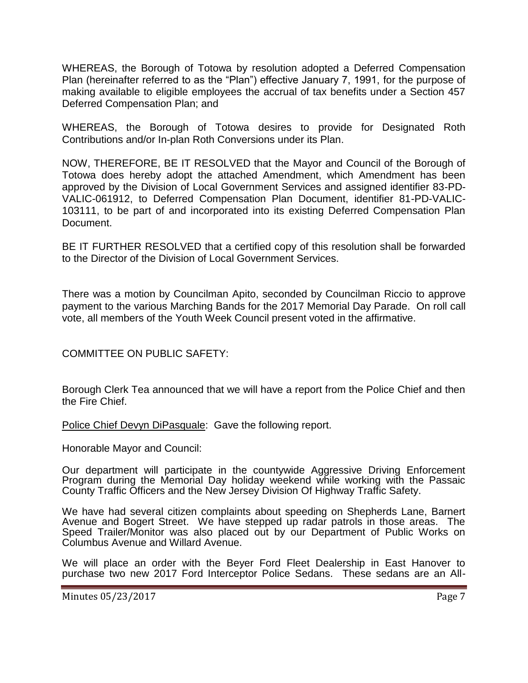WHEREAS, the Borough of Totowa by resolution adopted a Deferred Compensation Plan (hereinafter referred to as the "Plan") effective January 7, 1991, for the purpose of making available to eligible employees the accrual of tax benefits under a Section 457 Deferred Compensation Plan; and

WHEREAS, the Borough of Totowa desires to provide for Designated Roth Contributions and/or In-plan Roth Conversions under its Plan.

NOW, THEREFORE, BE IT RESOLVED that the Mayor and Council of the Borough of Totowa does hereby adopt the attached Amendment, which Amendment has been approved by the Division of Local Government Services and assigned identifier 83-PD-VALIC-061912, to Deferred Compensation Plan Document, identifier 81-PD-VALIC-103111, to be part of and incorporated into its existing Deferred Compensation Plan Document.

BE IT FURTHER RESOLVED that a certified copy of this resolution shall be forwarded to the Director of the Division of Local Government Services.

There was a motion by Councilman Apito, seconded by Councilman Riccio to approve payment to the various Marching Bands for the 2017 Memorial Day Parade. On roll call vote, all members of the Youth Week Council present voted in the affirmative.

COMMITTEE ON PUBLIC SAFETY:

Borough Clerk Tea announced that we will have a report from the Police Chief and then the Fire Chief.

Police Chief Devyn DiPasquale: Gave the following report.

Honorable Mayor and Council:

Our department will participate in the countywide Aggressive Driving Enforcement Program during the Memorial Day holiday weekend while working with the Passaic County Traffic Officers and the New Jersey Division Of Highway Traffic Safety.

We have had several citizen complaints about speeding on Shepherds Lane, Barnert Avenue and Bogert Street. We have stepped up radar patrols in those areas. The Speed Trailer/Monitor was also placed out by our Department of Public Works on Columbus Avenue and Willard Avenue.

We will place an order with the Beyer Ford Fleet Dealership in East Hanover to purchase two new 2017 Ford Interceptor Police Sedans. These sedans are an All-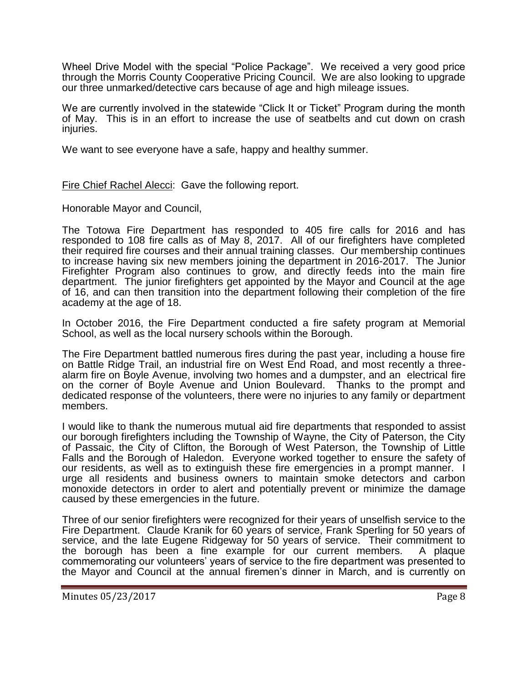Wheel Drive Model with the special "Police Package". We received a very good price through the Morris County Cooperative Pricing Council. We are also looking to upgrade our three unmarked/detective cars because of age and high mileage issues.

We are currently involved in the statewide "Click It or Ticket" Program during the month of May. This is in an effort to increase the use of seatbelts and cut down on crash injuries.

We want to see everyone have a safe, happy and healthy summer.

Fire Chief Rachel Alecci: Gave the following report.

Honorable Mayor and Council,

The Totowa Fire Department has responded to 405 fire calls for 2016 and has responded to 108 fire calls as of May 8, 2017. All of our firefighters have completed their required fire courses and their annual training classes. Our membership continues to increase having six new members joining the department in 2016-2017. The Junior Firefighter Program also continues to grow, and directly feeds into the main fire department. The junior firefighters get appointed by the Mayor and Council at the age of 16, and can then transition into the department following their completion of the fire academy at the age of 18.

In October 2016, the Fire Department conducted a fire safety program at Memorial School, as well as the local nursery schools within the Borough.

The Fire Department battled numerous fires during the past year, including a house fire on Battle Ridge Trail, an industrial fire on West End Road, and most recently a threealarm fire on Boyle Avenue, involving two homes and a dumpster, and an electrical fire on the corner of Boyle Avenue and Union Boulevard. Thanks to the prompt and dedicated response of the volunteers, there were no injuries to any family or department members.

I would like to thank the numerous mutual aid fire departments that responded to assist our borough firefighters including the Township of Wayne, the City of Paterson, the City of Passaic, the City of Clifton, the Borough of West Paterson, the Township of Little Falls and the Borough of Haledon. Everyone worked together to ensure the safety of our residents, as well as to extinguish these fire emergencies in a prompt manner. I urge all residents and business owners to maintain smoke detectors and carbon monoxide detectors in order to alert and potentially prevent or minimize the damage caused by these emergencies in the future.

Three of our senior firefighters were recognized for their years of unselfish service to the Fire Department. Claude Kranik for 60 years of service, Frank Sperling for 50 years of service, and the late Eugene Ridgeway for 50 years of service. Their commitment to the borough has been a fine example for our current members. A plaque commemorating our volunteers' years of service to the fire department was presented to the Mayor and Council at the annual firemen's dinner in March, and is currently on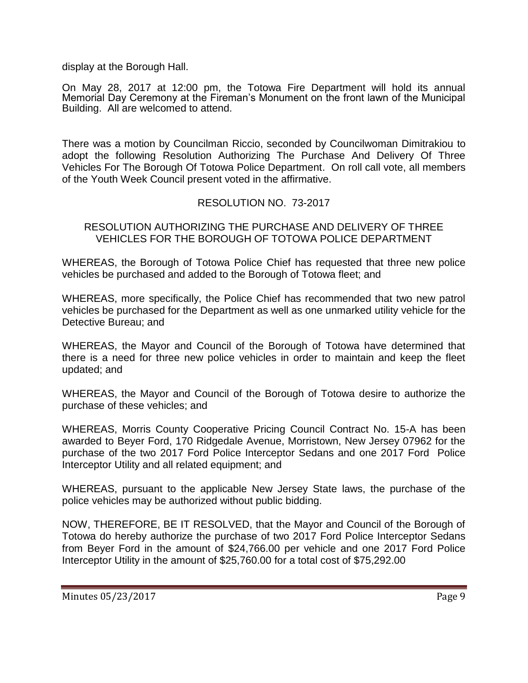display at the Borough Hall.

On May 28, 2017 at 12:00 pm, the Totowa Fire Department will hold its annual Memorial Day Ceremony at the Fireman's Monument on the front lawn of the Municipal Building. All are welcomed to attend.

There was a motion by Councilman Riccio, seconded by Councilwoman Dimitrakiou to adopt the following Resolution Authorizing The Purchase And Delivery Of Three Vehicles For The Borough Of Totowa Police Department. On roll call vote, all members of the Youth Week Council present voted in the affirmative.

## RESOLUTION NO. 73-2017

## RESOLUTION AUTHORIZING THE PURCHASE AND DELIVERY OF THREE VEHICLES FOR THE BOROUGH OF TOTOWA POLICE DEPARTMENT

WHEREAS, the Borough of Totowa Police Chief has requested that three new police vehicles be purchased and added to the Borough of Totowa fleet; and

WHEREAS, more specifically, the Police Chief has recommended that two new patrol vehicles be purchased for the Department as well as one unmarked utility vehicle for the Detective Bureau; and

WHEREAS, the Mayor and Council of the Borough of Totowa have determined that there is a need for three new police vehicles in order to maintain and keep the fleet updated; and

WHEREAS, the Mayor and Council of the Borough of Totowa desire to authorize the purchase of these vehicles; and

WHEREAS, Morris County Cooperative Pricing Council Contract No. 15-A has been awarded to Beyer Ford, 170 Ridgedale Avenue, Morristown, New Jersey 07962 for the purchase of the two 2017 Ford Police Interceptor Sedans and one 2017 Ford Police Interceptor Utility and all related equipment; and

WHEREAS, pursuant to the applicable New Jersey State laws, the purchase of the police vehicles may be authorized without public bidding.

NOW, THEREFORE, BE IT RESOLVED, that the Mayor and Council of the Borough of Totowa do hereby authorize the purchase of two 2017 Ford Police Interceptor Sedans from Beyer Ford in the amount of \$24,766.00 per vehicle and one 2017 Ford Police Interceptor Utility in the amount of \$25,760.00 for a total cost of \$75,292.00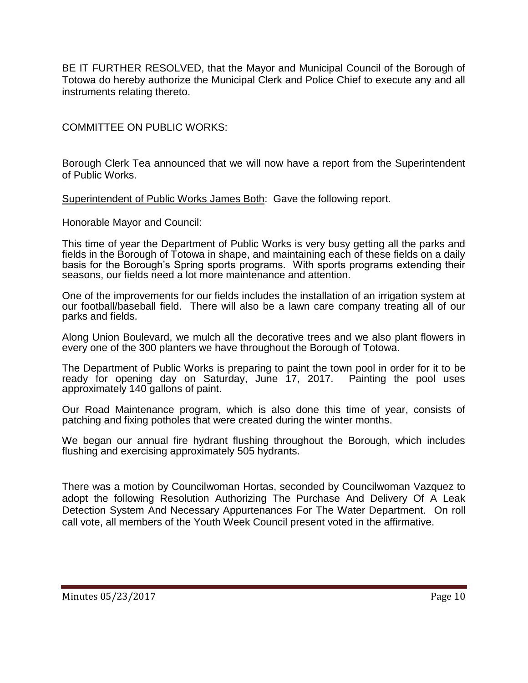BE IT FURTHER RESOLVED, that the Mayor and Municipal Council of the Borough of Totowa do hereby authorize the Municipal Clerk and Police Chief to execute any and all instruments relating thereto.

COMMITTEE ON PUBLIC WORKS:

Borough Clerk Tea announced that we will now have a report from the Superintendent of Public Works.

Superintendent of Public Works James Both: Gave the following report.

Honorable Mayor and Council:

This time of year the Department of Public Works is very busy getting all the parks and fields in the Borough of Totowa in shape, and maintaining each of these fields on a daily basis for the Borough's Spring sports programs. With sports programs extending their seasons, our fields need a lot more maintenance and attention.

One of the improvements for our fields includes the installation of an irrigation system at our football/baseball field. There will also be a lawn care company treating all of our parks and fields.

Along Union Boulevard, we mulch all the decorative trees and we also plant flowers in every one of the 300 planters we have throughout the Borough of Totowa.

The Department of Public Works is preparing to paint the town pool in order for it to be ready for opening day on Saturday, June 17, 2017. Painting the pool uses approximately 140 gallons of paint.

Our Road Maintenance program, which is also done this time of year, consists of patching and fixing potholes that were created during the winter months.

We began our annual fire hydrant flushing throughout the Borough, which includes flushing and exercising approximately 505 hydrants.

There was a motion by Councilwoman Hortas, seconded by Councilwoman Vazquez to adopt the following Resolution Authorizing The Purchase And Delivery Of A Leak Detection System And Necessary Appurtenances For The Water Department. On roll call vote, all members of the Youth Week Council present voted in the affirmative.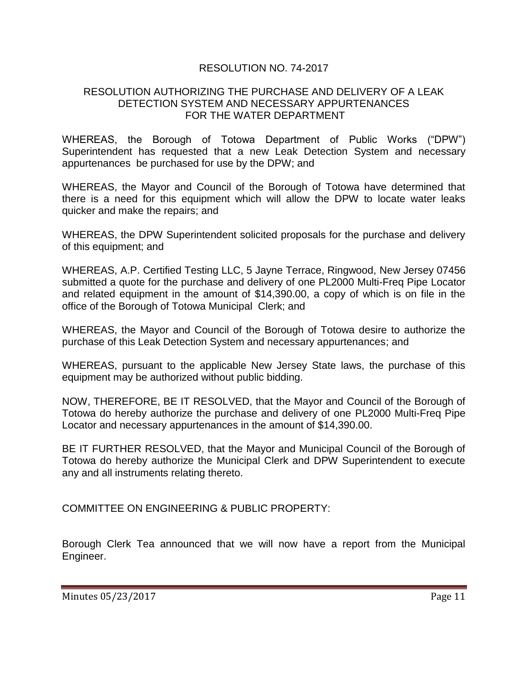# RESOLUTION NO. 74-2017

#### RESOLUTION AUTHORIZING THE PURCHASE AND DELIVERY OF A LEAK DETECTION SYSTEM AND NECESSARY APPURTENANCES FOR THE WATER DEPARTMENT

WHEREAS, the Borough of Totowa Department of Public Works ("DPW") Superintendent has requested that a new Leak Detection System and necessary appurtenances be purchased for use by the DPW; and

WHEREAS, the Mayor and Council of the Borough of Totowa have determined that there is a need for this equipment which will allow the DPW to locate water leaks quicker and make the repairs; and

WHEREAS, the DPW Superintendent solicited proposals for the purchase and delivery of this equipment; and

WHEREAS, A.P. Certified Testing LLC, 5 Jayne Terrace, Ringwood, New Jersey 07456 submitted a quote for the purchase and delivery of one PL2000 Multi-Freq Pipe Locator and related equipment in the amount of \$14,390.00, a copy of which is on file in the office of the Borough of Totowa Municipal Clerk; and

WHEREAS, the Mayor and Council of the Borough of Totowa desire to authorize the purchase of this Leak Detection System and necessary appurtenances; and

WHEREAS, pursuant to the applicable New Jersey State laws, the purchase of this equipment may be authorized without public bidding.

NOW, THEREFORE, BE IT RESOLVED, that the Mayor and Council of the Borough of Totowa do hereby authorize the purchase and delivery of one PL2000 Multi-Freq Pipe Locator and necessary appurtenances in the amount of \$14,390.00.

BE IT FURTHER RESOLVED, that the Mayor and Municipal Council of the Borough of Totowa do hereby authorize the Municipal Clerk and DPW Superintendent to execute any and all instruments relating thereto.

COMMITTEE ON ENGINEERING & PUBLIC PROPERTY:

Borough Clerk Tea announced that we will now have a report from the Municipal Engineer.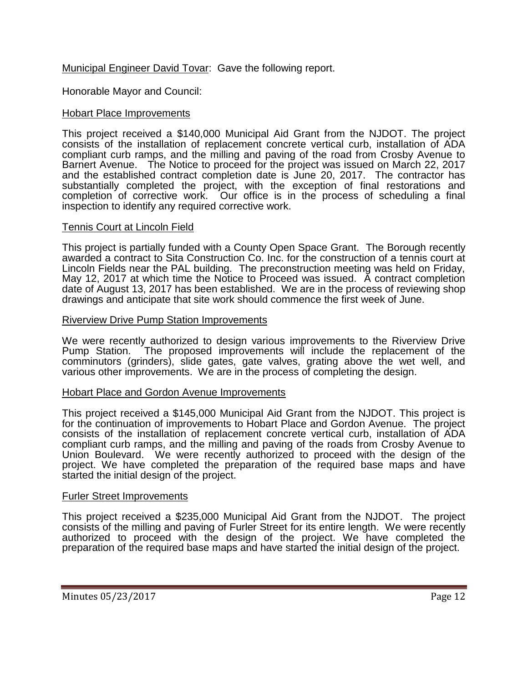# Municipal Engineer David Tovar: Gave the following report.

Honorable Mayor and Council:

## Hobart Place Improvements

This project received a \$140,000 Municipal Aid Grant from the NJDOT. The project consists of the installation of replacement concrete vertical curb, installation of ADA compliant curb ramps, and the milling and paving of the road from Crosby Avenue to Barnert Avenue. The Notice to proceed for the project was issued on March 22, 2017 and the established contract completion date is June 20, 2017. The contractor has substantially completed the project, with the exception of final restorations and completion of corrective work. Our office is in the process of scheduling a final inspection to identify any required corrective work.

#### Tennis Court at Lincoln Field

This project is partially funded with a County Open Space Grant. The Borough recently awarded a contract to Sita Construction Co. Inc. for the construction of a tennis court at Lincoln Fields near the PAL building. The preconstruction meeting was held on Friday, May 12, 2017 at which time the Notice to Proceed was issued. A contract completion date of August 13, 2017 has been established. We are in the process of reviewing shop drawings and anticipate that site work should commence the first week of June.

#### Riverview Drive Pump Station Improvements

We were recently authorized to design various improvements to the Riverview Drive<br>Pump Station. The proposed improvements will include the replacement of the The proposed improvements will include the replacement of the comminutors (grinders), slide gates, gate valves, grating above the wet well, and various other improvements. We are in the process of completing the design.

#### Hobart Place and Gordon Avenue Improvements

This project received a \$145,000 Municipal Aid Grant from the NJDOT. This project is for the continuation of improvements to Hobart Place and Gordon Avenue. The project consists of the installation of replacement concrete vertical curb, installation of ADA compliant curb ramps, and the milling and paving of the roads from Crosby Avenue to Union Boulevard. We were recently authorized to proceed with the design of the project. We have completed the preparation of the required base maps and have started the initial design of the project.

#### Furler Street Improvements

This project received a \$235,000 Municipal Aid Grant from the NJDOT. The project consists of the milling and paving of Furler Street for its entire length. We were recently authorized to proceed with the design of the project. We have completed the preparation of the required base maps and have started the initial design of the project.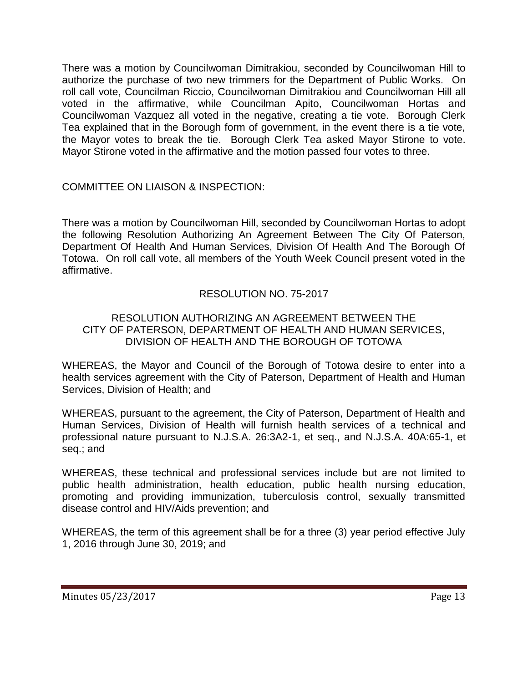There was a motion by Councilwoman Dimitrakiou, seconded by Councilwoman Hill to authorize the purchase of two new trimmers for the Department of Public Works. On roll call vote, Councilman Riccio, Councilwoman Dimitrakiou and Councilwoman Hill all voted in the affirmative, while Councilman Apito, Councilwoman Hortas and Councilwoman Vazquez all voted in the negative, creating a tie vote. Borough Clerk Tea explained that in the Borough form of government, in the event there is a tie vote, the Mayor votes to break the tie. Borough Clerk Tea asked Mayor Stirone to vote. Mayor Stirone voted in the affirmative and the motion passed four votes to three.

COMMITTEE ON LIAISON & INSPECTION:

There was a motion by Councilwoman Hill, seconded by Councilwoman Hortas to adopt the following Resolution Authorizing An Agreement Between The City Of Paterson, Department Of Health And Human Services, Division Of Health And The Borough Of Totowa. On roll call vote, all members of the Youth Week Council present voted in the affirmative.

# RESOLUTION NO. 75-2017

# RESOLUTION AUTHORIZING AN AGREEMENT BETWEEN THE CITY OF PATERSON, DEPARTMENT OF HEALTH AND HUMAN SERVICES, DIVISION OF HEALTH AND THE BOROUGH OF TOTOWA

WHEREAS, the Mayor and Council of the Borough of Totowa desire to enter into a health services agreement with the City of Paterson, Department of Health and Human Services, Division of Health; and

WHEREAS, pursuant to the agreement, the City of Paterson, Department of Health and Human Services, Division of Health will furnish health services of a technical and professional nature pursuant to N.J.S.A. 26:3A2-1, et seq., and N.J.S.A. 40A:65-1, et seq.; and

WHEREAS, these technical and professional services include but are not limited to public health administration, health education, public health nursing education, promoting and providing immunization, tuberculosis control, sexually transmitted disease control and HIV/Aids prevention; and

WHEREAS, the term of this agreement shall be for a three (3) year period effective July 1, 2016 through June 30, 2019; and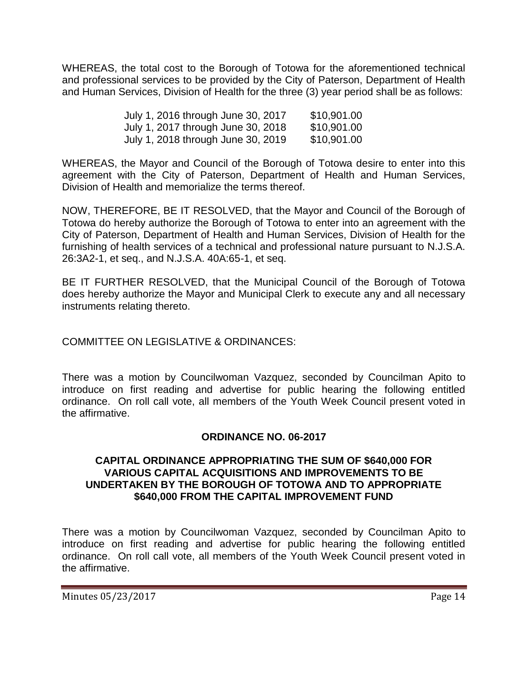WHEREAS, the total cost to the Borough of Totowa for the aforementioned technical and professional services to be provided by the City of Paterson, Department of Health and Human Services, Division of Health for the three (3) year period shall be as follows:

| July 1, 2016 through June 30, 2017 | \$10,901.00 |
|------------------------------------|-------------|
| July 1, 2017 through June 30, 2018 | \$10,901.00 |
| July 1, 2018 through June 30, 2019 | \$10,901.00 |

WHEREAS, the Mayor and Council of the Borough of Totowa desire to enter into this agreement with the City of Paterson, Department of Health and Human Services, Division of Health and memorialize the terms thereof.

NOW, THEREFORE, BE IT RESOLVED, that the Mayor and Council of the Borough of Totowa do hereby authorize the Borough of Totowa to enter into an agreement with the City of Paterson, Department of Health and Human Services, Division of Health for the furnishing of health services of a technical and professional nature pursuant to N.J.S.A. 26:3A2-1, et seq., and N.J.S.A. 40A:65-1, et seq.

BE IT FURTHER RESOLVED, that the Municipal Council of the Borough of Totowa does hereby authorize the Mayor and Municipal Clerk to execute any and all necessary instruments relating thereto.

COMMITTEE ON LEGISLATIVE & ORDINANCES:

There was a motion by Councilwoman Vazquez, seconded by Councilman Apito to introduce on first reading and advertise for public hearing the following entitled ordinance. On roll call vote, all members of the Youth Week Council present voted in the affirmative.

# **ORDINANCE NO. 06-2017**

## **CAPITAL ORDINANCE APPROPRIATING THE SUM OF \$640,000 FOR VARIOUS CAPITAL ACQUISITIONS AND IMPROVEMENTS TO BE UNDERTAKEN BY THE BOROUGH OF TOTOWA AND TO APPROPRIATE \$640,000 FROM THE CAPITAL IMPROVEMENT FUND**

There was a motion by Councilwoman Vazquez, seconded by Councilman Apito to introduce on first reading and advertise for public hearing the following entitled ordinance. On roll call vote, all members of the Youth Week Council present voted in the affirmative.